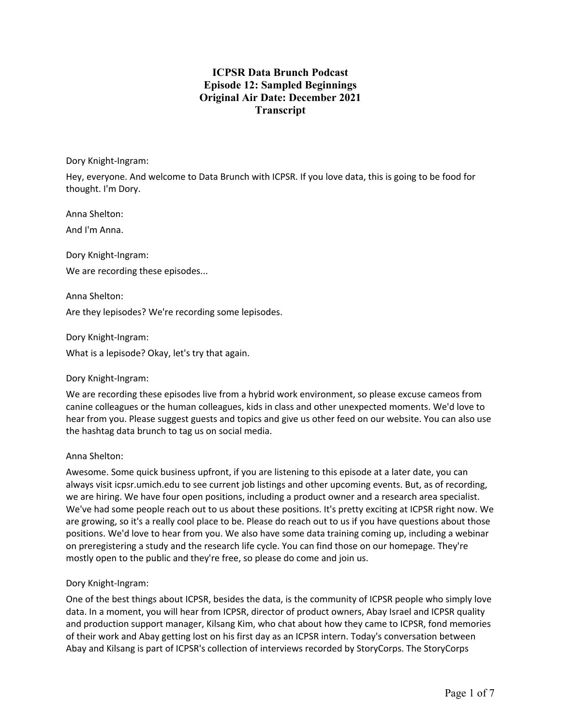# **ICPSR Data Brunch Podcast Episode 12: Sampled Beginnings Original Air Date: December 2021 Transcript**

Dory Knight-Ingram:

Hey, everyone. And welcome to Data Brunch with ICPSR. If you love data, this is going to be food for thought. I'm Dory.

Anna Shelton:

And I'm Anna.

Dory Knight-Ingram:

We are recording these episodes...

Anna Shelton:

Are they lepisodes? We're recording some lepisodes.

Dory Knight-Ingram: What is a lepisode? Okay, let's try that again.

### Dory Knight-Ingram:

We are recording these episodes live from a hybrid work environment, so please excuse cameos from canine colleagues or the human colleagues, kids in class and other unexpected moments. We'd love to hear from you. Please suggest guests and topics and give us other feed on our website. You can also use the hashtag data brunch to tag us on social media.

### Anna Shelton:

Awesome. Some quick business upfront, if you are listening to this episode at a later date, you can always visit icpsr.umich.edu to see current job listings and other upcoming events. But, as of recording, we are hiring. We have four open positions, including a product owner and a research area specialist. We've had some people reach out to us about these positions. It's pretty exciting at ICPSR right now. We are growing, so it's a really cool place to be. Please do reach out to us if you have questions about those positions. We'd love to hear from you. We also have some data training coming up, including a webinar on preregistering a study and the research life cycle. You can find those on our homepage. They're mostly open to the public and they're free, so please do come and join us.

### Dory Knight-Ingram:

One of the best things about ICPSR, besides the data, is the community of ICPSR people who simply love data. In a moment, you will hear from ICPSR, director of product owners, Abay Israel and ICPSR quality and production support manager, Kilsang Kim, who chat about how they came to ICPSR, fond memories of their work and Abay getting lost on his first day as an ICPSR intern. Today's conversation between Abay and Kilsang is part of ICPSR's collection of interviews recorded by StoryCorps. The StoryCorps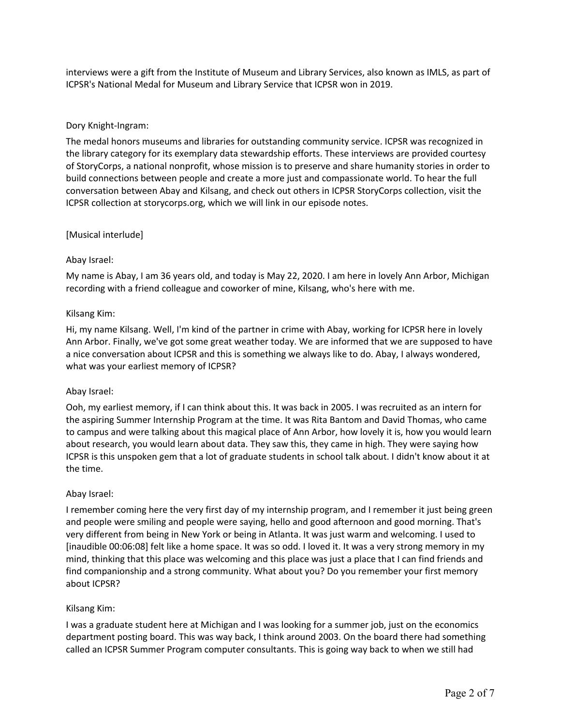interviews were a gift from the Institute of Museum and Library Services, also known as IMLS, as part of ICPSR's National Medal for Museum and Library Service that ICPSR won in 2019.

### Dory Knight-Ingram:

The medal honors museums and libraries for outstanding community service. ICPSR was recognized in the library category for its exemplary data stewardship efforts. These interviews are provided courtesy of StoryCorps, a national nonprofit, whose mission is to preserve and share humanity stories in order to build connections between people and create a more just and compassionate world. To hear the full conversation between Abay and Kilsang, and check out others in ICPSR StoryCorps collection, visit the ICPSR collection at storycorps.org, which we will link in our episode notes.

### [Musical interlude]

### Abay Israel:

My name is Abay, I am 36 years old, and today is May 22, 2020. I am here in lovely Ann Arbor, Michigan recording with a friend colleague and coworker of mine, Kilsang, who's here with me.

#### Kilsang Kim:

Hi, my name Kilsang. Well, I'm kind of the partner in crime with Abay, working for ICPSR here in lovely Ann Arbor. Finally, we've got some great weather today. We are informed that we are supposed to have a nice conversation about ICPSR and this is something we always like to do. Abay, I always wondered, what was your earliest memory of ICPSR?

### Abay Israel:

Ooh, my earliest memory, if I can think about this. It was back in 2005. I was recruited as an intern for the aspiring Summer Internship Program at the time. It was Rita Bantom and David Thomas, who came to campus and were talking about this magical place of Ann Arbor, how lovely it is, how you would learn about research, you would learn about data. They saw this, they came in high. They were saying how ICPSR is this unspoken gem that a lot of graduate students in school talk about. I didn't know about it at the time.

### Abay Israel:

I remember coming here the very first day of my internship program, and I remember it just being green and people were smiling and people were saying, hello and good afternoon and good morning. That's very different from being in New York or being in Atlanta. It was just warm and welcoming. I used to [inaudible 00:06:08] felt like a home space. It was so odd. I loved it. It was a very strong memory in my mind, thinking that this place was welcoming and this place was just a place that I can find friends and find companionship and a strong community. What about you? Do you remember your first memory about ICPSR?

### Kilsang Kim:

I was a graduate student here at Michigan and I was looking for a summer job, just on the economics department posting board. This was way back, I think around 2003. On the board there had something called an ICPSR Summer Program computer consultants. This is going way back to when we still had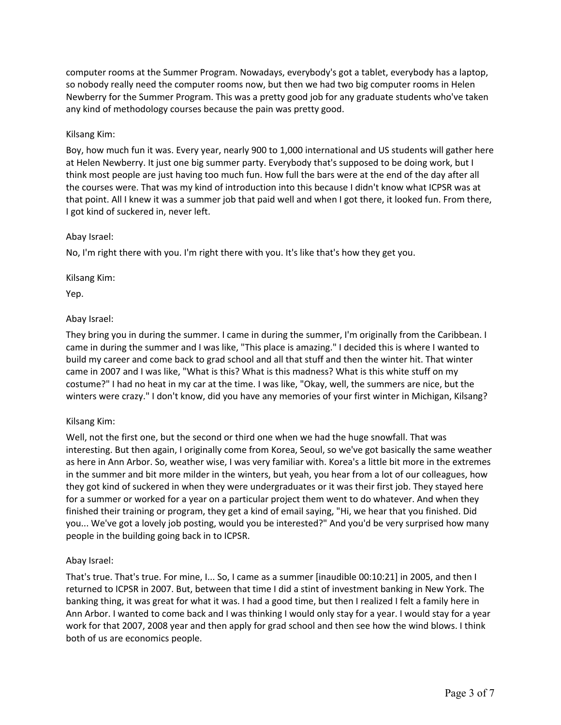computer rooms at the Summer Program. Nowadays, everybody's got a tablet, everybody has a laptop, so nobody really need the computer rooms now, but then we had two big computer rooms in Helen Newberry for the Summer Program. This was a pretty good job for any graduate students who've taken any kind of methodology courses because the pain was pretty good.

### Kilsang Kim:

Boy, how much fun it was. Every year, nearly 900 to 1,000 international and US students will gather here at Helen Newberry. It just one big summer party. Everybody that's supposed to be doing work, but I think most people are just having too much fun. How full the bars were at the end of the day after all the courses were. That was my kind of introduction into this because I didn't know what ICPSR was at that point. All I knew it was a summer job that paid well and when I got there, it looked fun. From there, I got kind of suckered in, never left.

### Abay Israel:

No, I'm right there with you. I'm right there with you. It's like that's how they get you.

Kilsang Kim:

Yep.

# Abay Israel:

They bring you in during the summer. I came in during the summer, I'm originally from the Caribbean. I came in during the summer and I was like, "This place is amazing." I decided this is where I wanted to build my career and come back to grad school and all that stuff and then the winter hit. That winter came in 2007 and I was like, "What is this? What is this madness? What is this white stuff on my costume?" I had no heat in my car at the time. I was like, "Okay, well, the summers are nice, but the winters were crazy." I don't know, did you have any memories of your first winter in Michigan, Kilsang?

### Kilsang Kim:

Well, not the first one, but the second or third one when we had the huge snowfall. That was interesting. But then again, I originally come from Korea, Seoul, so we've got basically the same weather as here in Ann Arbor. So, weather wise, I was very familiar with. Korea's a little bit more in the extremes in the summer and bit more milder in the winters, but yeah, you hear from a lot of our colleagues, how they got kind of suckered in when they were undergraduates or it was their first job. They stayed here for a summer or worked for a year on a particular project them went to do whatever. And when they finished their training or program, they get a kind of email saying, "Hi, we hear that you finished. Did you... We've got a lovely job posting, would you be interested?" And you'd be very surprised how many people in the building going back in to ICPSR.

### Abay Israel:

That's true. That's true. For mine, I... So, I came as a summer [inaudible 00:10:21] in 2005, and then I returned to ICPSR in 2007. But, between that time I did a stint of investment banking in New York. The banking thing, it was great for what it was. I had a good time, but then I realized I felt a family here in Ann Arbor. I wanted to come back and I was thinking I would only stay for a year. I would stay for a year work for that 2007, 2008 year and then apply for grad school and then see how the wind blows. I think both of us are economics people.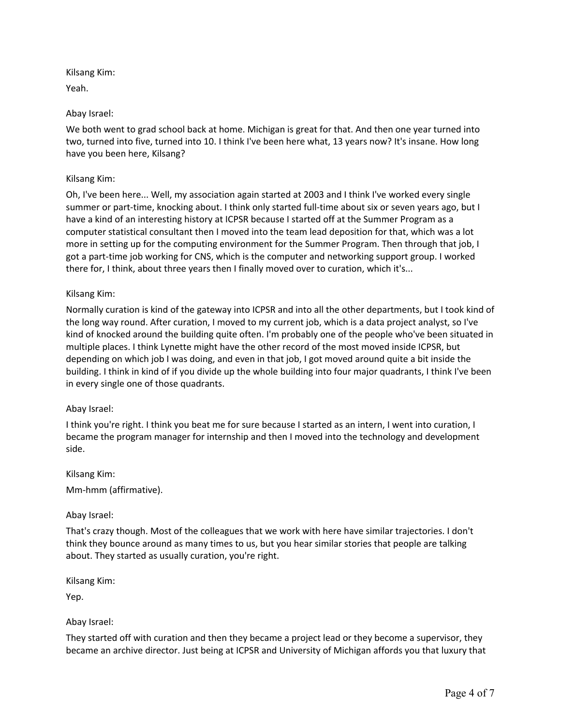Kilsang Kim:

Yeah.

# Abay Israel:

We both went to grad school back at home. Michigan is great for that. And then one year turned into two, turned into five, turned into 10. I think I've been here what, 13 years now? It's insane. How long have you been here, Kilsang?

### Kilsang Kim:

Oh, I've been here... Well, my association again started at 2003 and I think I've worked every single summer or part-time, knocking about. I think only started full-time about six or seven years ago, but I have a kind of an interesting history at ICPSR because I started off at the Summer Program as a computer statistical consultant then I moved into the team lead deposition for that, which was a lot more in setting up for the computing environment for the Summer Program. Then through that job, I got a part-time job working for CNS, which is the computer and networking support group. I worked there for, I think, about three years then I finally moved over to curation, which it's...

### Kilsang Kim:

Normally curation is kind of the gateway into ICPSR and into all the other departments, but I took kind of the long way round. After curation, I moved to my current job, which is a data project analyst, so I've kind of knocked around the building quite often. I'm probably one of the people who've been situated in multiple places. I think Lynette might have the other record of the most moved inside ICPSR, but depending on which job I was doing, and even in that job, I got moved around quite a bit inside the building. I think in kind of if you divide up the whole building into four major quadrants, I think I've been in every single one of those quadrants.

### Abay Israel:

I think you're right. I think you beat me for sure because I started as an intern, I went into curation, I became the program manager for internship and then I moved into the technology and development side.

Kilsang Kim:

Mm-hmm (affirmative).

### Abay Israel:

That's crazy though. Most of the colleagues that we work with here have similar trajectories. I don't think they bounce around as many times to us, but you hear similar stories that people are talking about. They started as usually curation, you're right.

Kilsang Kim:

Yep.

### Abay Israel:

They started off with curation and then they became a project lead or they become a supervisor, they became an archive director. Just being at ICPSR and University of Michigan affords you that luxury that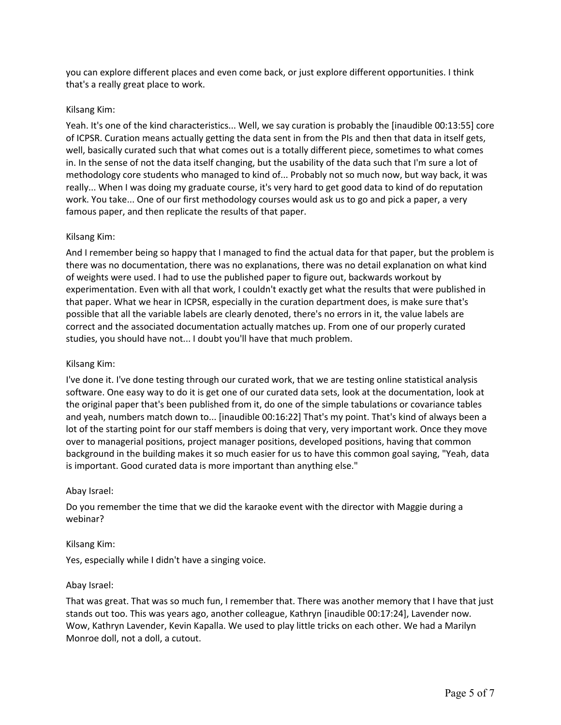you can explore different places and even come back, or just explore different opportunities. I think that's a really great place to work.

#### Kilsang Kim:

Yeah. It's one of the kind characteristics... Well, we say curation is probably the [inaudible 00:13:55] core of ICPSR. Curation means actually getting the data sent in from the PIs and then that data in itself gets, well, basically curated such that what comes out is a totally different piece, sometimes to what comes in. In the sense of not the data itself changing, but the usability of the data such that I'm sure a lot of methodology core students who managed to kind of... Probably not so much now, but way back, it was really... When I was doing my graduate course, it's very hard to get good data to kind of do reputation work. You take... One of our first methodology courses would ask us to go and pick a paper, a very famous paper, and then replicate the results of that paper.

#### Kilsang Kim:

And I remember being so happy that I managed to find the actual data for that paper, but the problem is there was no documentation, there was no explanations, there was no detail explanation on what kind of weights were used. I had to use the published paper to figure out, backwards workout by experimentation. Even with all that work, I couldn't exactly get what the results that were published in that paper. What we hear in ICPSR, especially in the curation department does, is make sure that's possible that all the variable labels are clearly denoted, there's no errors in it, the value labels are correct and the associated documentation actually matches up. From one of our properly curated studies, you should have not... I doubt you'll have that much problem.

#### Kilsang Kim:

I've done it. I've done testing through our curated work, that we are testing online statistical analysis software. One easy way to do it is get one of our curated data sets, look at the documentation, look at the original paper that's been published from it, do one of the simple tabulations or covariance tables and yeah, numbers match down to... [inaudible 00:16:22] That's my point. That's kind of always been a lot of the starting point for our staff members is doing that very, very important work. Once they move over to managerial positions, project manager positions, developed positions, having that common background in the building makes it so much easier for us to have this common goal saying, "Yeah, data is important. Good curated data is more important than anything else."

#### Abay Israel:

Do you remember the time that we did the karaoke event with the director with Maggie during a webinar?

#### Kilsang Kim:

Yes, especially while I didn't have a singing voice.

#### Abay Israel:

That was great. That was so much fun, I remember that. There was another memory that I have that just stands out too. This was years ago, another colleague, Kathryn [inaudible 00:17:24], Lavender now. Wow, Kathryn Lavender, Kevin Kapalla. We used to play little tricks on each other. We had a Marilyn Monroe doll, not a doll, a cutout.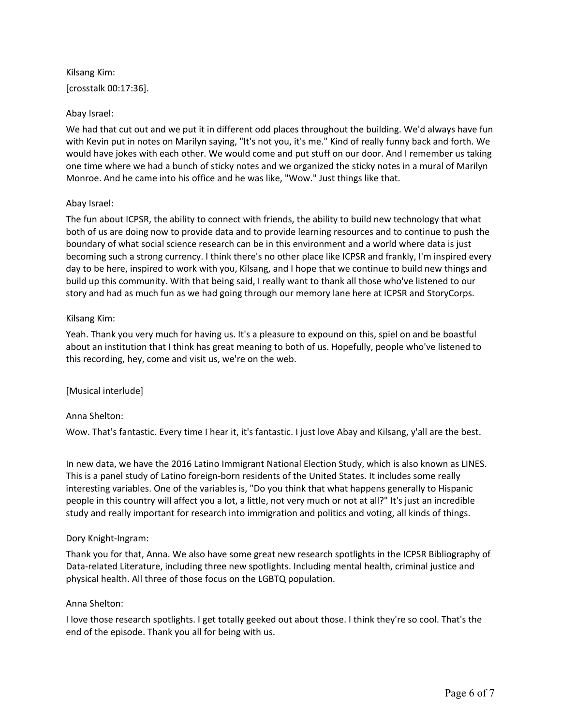Kilsang Kim: [crosstalk 00:17:36].

### Abay Israel:

We had that cut out and we put it in different odd places throughout the building. We'd always have fun with Kevin put in notes on Marilyn saying, "It's not you, it's me." Kind of really funny back and forth. We would have jokes with each other. We would come and put stuff on our door. And I remember us taking one time where we had a bunch of sticky notes and we organized the sticky notes in a mural of Marilyn Monroe. And he came into his office and he was like, "Wow." Just things like that.

### Abay Israel:

The fun about ICPSR, the ability to connect with friends, the ability to build new technology that what both of us are doing now to provide data and to provide learning resources and to continue to push the boundary of what social science research can be in this environment and a world where data is just becoming such a strong currency. I think there's no other place like ICPSR and frankly, I'm inspired every day to be here, inspired to work with you, Kilsang, and I hope that we continue to build new things and build up this community. With that being said, I really want to thank all those who've listened to our story and had as much fun as we had going through our memory lane here at ICPSR and StoryCorps.

### Kilsang Kim:

Yeah. Thank you very much for having us. It's a pleasure to expound on this, spiel on and be boastful about an institution that I think has great meaning to both of us. Hopefully, people who've listened to this recording, hey, come and visit us, we're on the web.

### [Musical interlude]

### Anna Shelton:

Wow. That's fantastic. Every time I hear it, it's fantastic. I just love Abay and Kilsang, y'all are the best.

In new data, we have the 2016 Latino Immigrant National Election Study, which is also known as LINES. This is a panel study of Latino foreign-born residents of the United States. It includes some really interesting variables. One of the variables is, "Do you think that what happens generally to Hispanic people in this country will affect you a lot, a little, not very much or not at all?" It's just an incredible study and really important for research into immigration and politics and voting, all kinds of things.

### Dory Knight-Ingram:

Thank you for that, Anna. We also have some great new research spotlights in the ICPSR Bibliography of Data-related Literature, including three new spotlights. Including mental health, criminal justice and physical health. All three of those focus on the LGBTQ population.

### Anna Shelton:

I love those research spotlights. I get totally geeked out about those. I think they're so cool. That's the end of the episode. Thank you all for being with us.